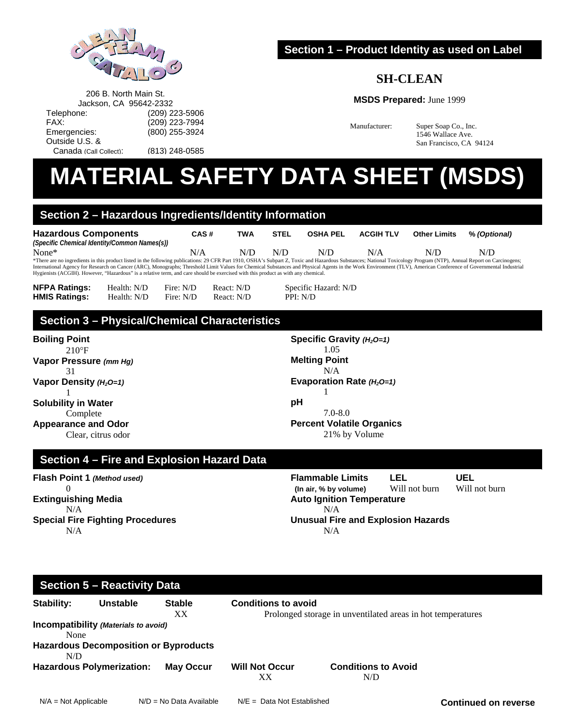

206 B. North Main St. Jackson, CA 95642-2332 Telephone: (209) 223-5906<br>FAX: (209) 223-7994 FAX: (209) 223-7994

Canada (Call Collect): (813) 248-0585

### **Section 1 – Product Identity as used on Label**

## **SH-CLEAN**

**MSDS Prepared:** June 1999

Manufacturer: Super Soap Co., Inc. 1546 Wallace Ave. San Francisco, CA 94124

# **MATERIAL SAFETY DATA SHEET (MSDS)**

## **Section 2 – Hazardous Ingredients/Identity Information**

(800) 255-3924

| <b>Hazardous Components</b>                                                                                                                                                                                          | CAS# | TWA | <b>STEL</b> | <b>OSHA PEL</b> | <b>ACGIH TLV</b> | <b>Other Limits</b> | % (Optional) |  |
|----------------------------------------------------------------------------------------------------------------------------------------------------------------------------------------------------------------------|------|-----|-------------|-----------------|------------------|---------------------|--------------|--|
| (Specific Chemical Identity/Common Names(s))                                                                                                                                                                         |      |     |             |                 |                  |                     |              |  |
| None*                                                                                                                                                                                                                | N/A  | N/D | N/D         | N/D             | N/A              | N/D                 | N/D          |  |
| *There are no ingredients in this product listed in the following publications: 29 CFR Part 1910, OSHA's Subpart Z. Toxic and Hazardous Substances: National Toxicology Program (NTP). Annual Report on Carcinogens: |      |     |             |                 |                  |                     |              |  |

\*There are no ingredients in this product listed in the following publications: 29 CFR Part 1910, OSHA's Subpart Z, Toxic and Hazardous Substances; National Toxicology Program (NTP), Annual Report on Carcinogens;<br>Internati Hygienists (ACGIH). However, "Hazardous" is a relative term, and care should be exercised with this product as with any chemical.

| <b>NFPA Ratings:</b> | Health: N/D | Fire: N/D | React: N/D | Specific Hazard: N/D |
|----------------------|-------------|-----------|------------|----------------------|
| <b>HMIS Ratings:</b> | Health: N/D | Fire: N/D | React: N/D | PPI: N/D             |

## **Section 3 – Physical/Chemical Characteristics**

**Boiling Point** 

Outside U.S. &

 $210^{\circ}F$ **Vapor Pressure** *(mm Hg)* 31 **Vapor Density** (H<sub>2</sub>O=1) 1 **Solubility in Water**  Complete **Appearance and Odor** 

Clear, citrus odor

**Specific Gravity**  $(H_2O=1)$  1.05 **Melting Point**  N/A Evaporation Rate (H<sub>2</sub>O=1) 1 **pH**  7.0-8.0 **Percent Volatile Organics**  21% by Volume

## **Section 4 – Fire and Explosion Hazard Data**

**Flash Point 1** *(Method used)*  $\Omega$ **Extinguishing Media**  N/A **Special Fire Fighting Procedures**  N/A

**Flammable Limits LEL UEL (In air, % by volume)** Will not burn Will not burn **Auto Ignition Temperature**  N/A **Unusual Fire and Explosion Hazards**  N/A

| <b>Section 5 - Reactivity Data</b> |                                              |                     |                                                                                           |                                   |  |
|------------------------------------|----------------------------------------------|---------------------|-------------------------------------------------------------------------------------------|-----------------------------------|--|
| Stability:                         | Unstable                                     | <b>Stable</b><br>XХ | <b>Conditions to avoid</b><br>Prolonged storage in unventilated areas in hot temperatures |                                   |  |
| None                               | Incompatibility (Materials to avoid)         |                     |                                                                                           |                                   |  |
| N/D                                | <b>Hazardous Decomposition or Byproducts</b> |                     |                                                                                           |                                   |  |
|                                    | <b>Hazardous Polymerization:</b>             | <b>May Occur</b>    | <b>Will Not Occur</b><br>XХ                                                               | <b>Conditions to Avoid</b><br>N/D |  |